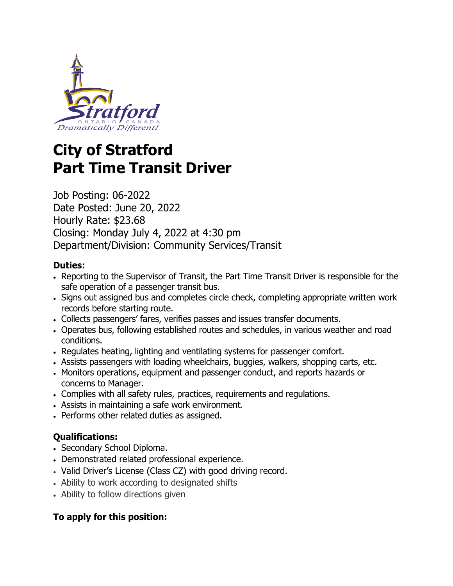

# **City of Stratford Part Time Transit Driver**

Job Posting: 06-2022 Date Posted: June 20, 2022 Hourly Rate: \$23.68 Closing: Monday July 4, 2022 at 4:30 pm Department/Division: Community Services/Transit

## **Duties:**

- Reporting to the Supervisor of Transit, the Part Time Transit Driver is responsible for the safe operation of a passenger transit bus.
- Signs out assigned bus and completes circle check, completing appropriate written work records before starting route.
- Collects passengers' fares, verifies passes and issues transfer documents.
- Operates bus, following established routes and schedules, in various weather and road conditions.
- Regulates heating, lighting and ventilating systems for passenger comfort.
- Assists passengers with loading wheelchairs, buggies, walkers, shopping carts, etc.
- Monitors operations, equipment and passenger conduct, and reports hazards or concerns to Manager.
- Complies with all safety rules, practices, requirements and regulations.
- Assists in maintaining a safe work environment.
- Performs other related duties as assigned.

## **Qualifications:**

- Secondary School Diploma.
- Demonstrated related professional experience.
- Valid Driver's License (Class CZ) with good driving record.
- Ability to work according to designated shifts
- Ability to follow directions given

## **To apply for this position:**